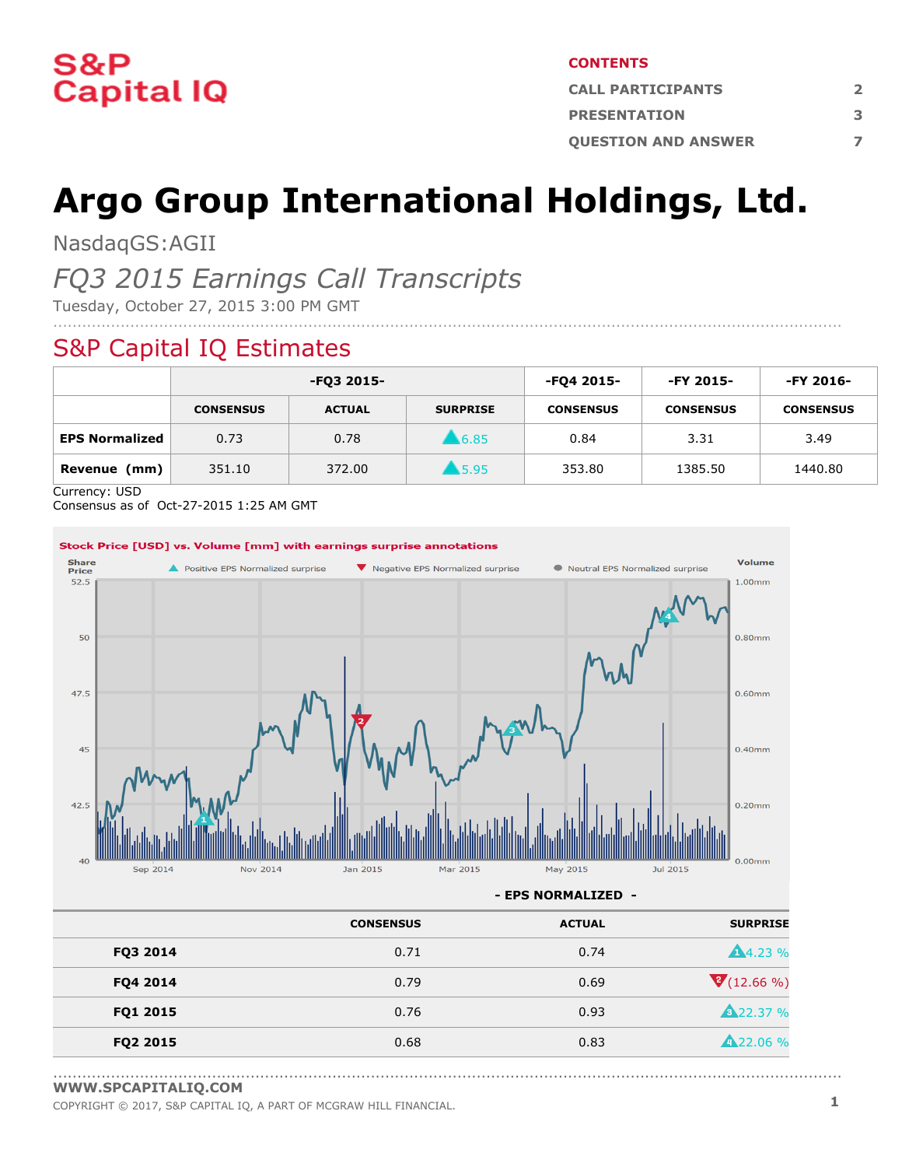

#### **CONTENTS**

| <b>CALL PARTICIPANTS</b>   |   |  |
|----------------------------|---|--|
| <b>PRESENTATION</b>        | 3 |  |
| <b>OUESTION AND ANSWER</b> |   |  |

# **Argo Group International Holdings, Ltd.**

NasdaqGS:AGII

# *FQ3 2015 Earnings Call Transcripts*

Tuesday, October 27, 2015 3:00 PM GMT

## S&P Capital IQ Estimates

|                       | -FQ3 2015-       |               | -FQ4 2015-      | -FY 2015-        | -FY 2016-        |                  |
|-----------------------|------------------|---------------|-----------------|------------------|------------------|------------------|
|                       | <b>CONSENSUS</b> | <b>ACTUAL</b> | <b>SURPRISE</b> | <b>CONSENSUS</b> | <b>CONSENSUS</b> | <b>CONSENSUS</b> |
| <b>EPS Normalized</b> | 0.73             | 0.78          | 6.85            | 0.84             | 3.31             | 3.49             |
| Revenue<br>(mm)       | 351.10           | 372.00        | \$5.95          | 353.80           | 1385.50          | 1440.80          |

....................................................................................................................................................................

Currency: USD

Consensus as of Oct-27-2015 1:25 AM GMT



**- EPS NORMALIZED -**

|          | <b>CONSENSUS</b> | <b>ACTUAL</b> | <b>SURPRISE</b>    |
|----------|------------------|---------------|--------------------|
| FQ3 2014 | 0.71             | 0.74          | <b>A</b> 4.23 %    |
| FQ4 2014 | 0.79             | 0.69          | $\sqrt{(12.66\%)}$ |
| FQ1 2015 | 0.76             | 0.93          | <b>A22.37 %</b>    |
| FQ2 2015 | 0.68             | 0.83          | <b>A</b> 22.06 %   |

<sup>....................................................................................................................................................................</sup> **[WWW.SPCAPITALIQ.COM](https://www.capitaliq.com/home.aspx)**

COPYRIGHT © 2017, S&P CAPITAL IQ, <sup>A</sup> PART OF MCGRAW HILL FINANCIAL. **1**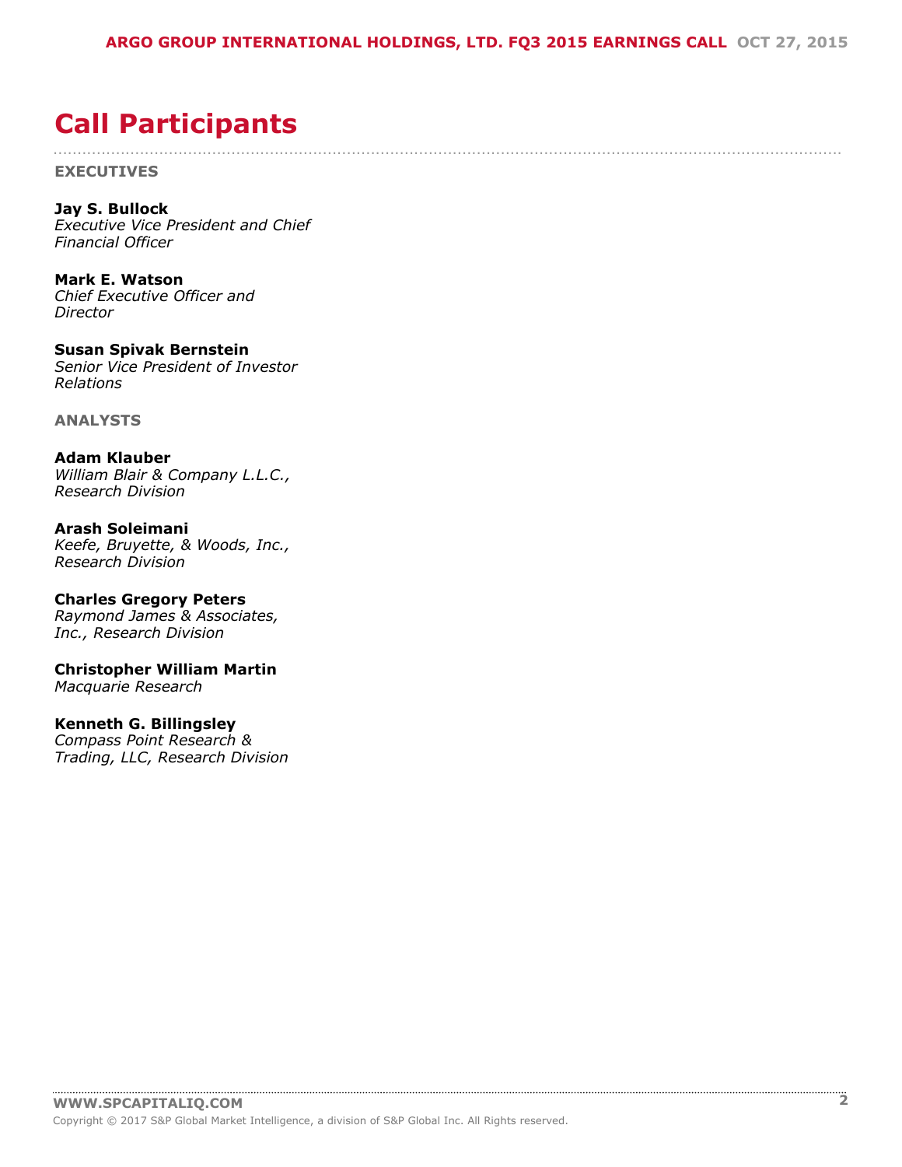....................................................................................................................................................................

# <span id="page-1-0"></span>**Call Participants**

**EXECUTIVES**

**Jay S. Bullock** *Executive Vice President and Chief Financial Officer*

**Mark E. Watson** *Chief Executive Officer and Director*

**Susan Spivak Bernstein** *Senior Vice President of Investor Relations*

**ANALYSTS**

**Adam Klauber** *William Blair & Company L.L.C., Research Division*

**Arash Soleimani** *Keefe, Bruyette, & Woods, Inc., Research Division*

**Charles Gregory Peters** *Raymond James & Associates, Inc., Research Division*

**Christopher William Martin** *Macquarie Research*

#### **Kenneth G. Billingsley**

*Compass Point Research & Trading, LLC, Research Division*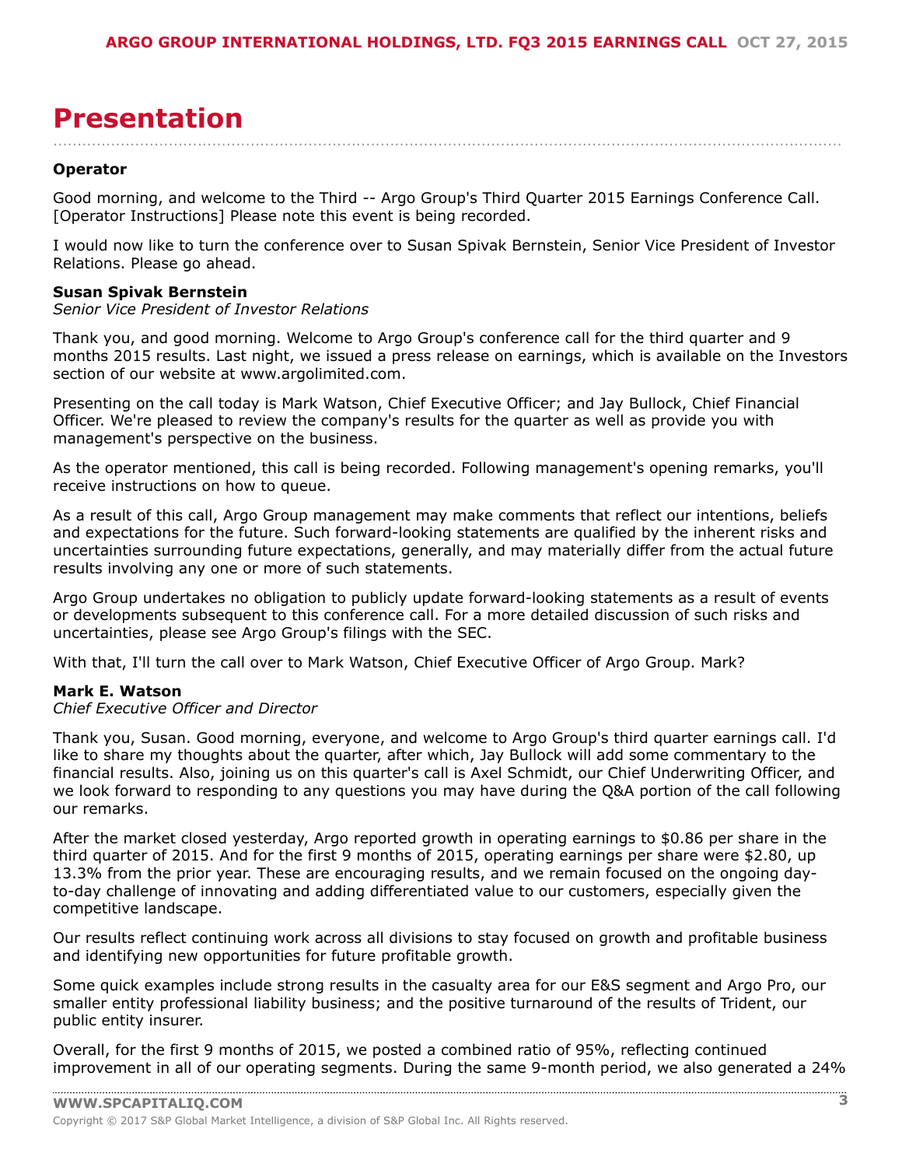# <span id="page-2-0"></span>**Presentation**

**Operator**

Good morning, and welcome to the Third -- Argo Group's Third Quarter 2015 Earnings Conference Call. [Operator Instructions] Please note this event is being recorded.

....................................................................................................................................................................

I would now like to turn the conference over to Susan Spivak Bernstein, Senior Vice President of Investor Relations. Please go ahead.

#### **Susan Spivak Bernstein**

#### *Senior Vice President of Investor Relations*

Thank you, and good morning. Welcome to Argo Group's conference call for the third quarter and 9 months 2015 results. Last night, we issued a press release on earnings, which is available on the Investors section of our website at www.argolimited.com.

Presenting on the call today is Mark Watson, Chief Executive Officer; and Jay Bullock, Chief Financial Officer. We're pleased to review the company's results for the quarter as well as provide you with management's perspective on the business.

As the operator mentioned, this call is being recorded. Following management's opening remarks, you'll receive instructions on how to queue.

As a result of this call, Argo Group management may make comments that reflect our intentions, beliefs and expectations for the future. Such forward-looking statements are qualified by the inherent risks and uncertainties surrounding future expectations, generally, and may materially differ from the actual future results involving any one or more of such statements.

Argo Group undertakes no obligation to publicly update forward-looking statements as a result of events or developments subsequent to this conference call. For a more detailed discussion of such risks and uncertainties, please see Argo Group's filings with the SEC.

With that, I'll turn the call over to Mark Watson, Chief Executive Officer of Argo Group. Mark?

#### **Mark E. Watson**

#### *Chief Executive Officer and Director*

Thank you, Susan. Good morning, everyone, and welcome to Argo Group's third quarter earnings call. I'd like to share my thoughts about the quarter, after which, Jay Bullock will add some commentary to the financial results. Also, joining us on this quarter's call is Axel Schmidt, our Chief Underwriting Officer, and we look forward to responding to any questions you may have during the Q&A portion of the call following our remarks.

After the market closed yesterday, Argo reported growth in operating earnings to \$0.86 per share in the third quarter of 2015. And for the first 9 months of 2015, operating earnings per share were \$2.80, up 13.3% from the prior year. These are encouraging results, and we remain focused on the ongoing dayto-day challenge of innovating and adding differentiated value to our customers, especially given the competitive landscape.

Our results reflect continuing work across all divisions to stay focused on growth and profitable business and identifying new opportunities for future profitable growth.

Some quick examples include strong results in the casualty area for our E&S segment and Argo Pro, our smaller entity professional liability business; and the positive turnaround of the results of Trident, our public entity insurer.

Overall, for the first 9 months of 2015, we posted a combined ratio of 95%, reflecting continued improvement in all of our operating segments. During the same 9-month period, we also generated a 24%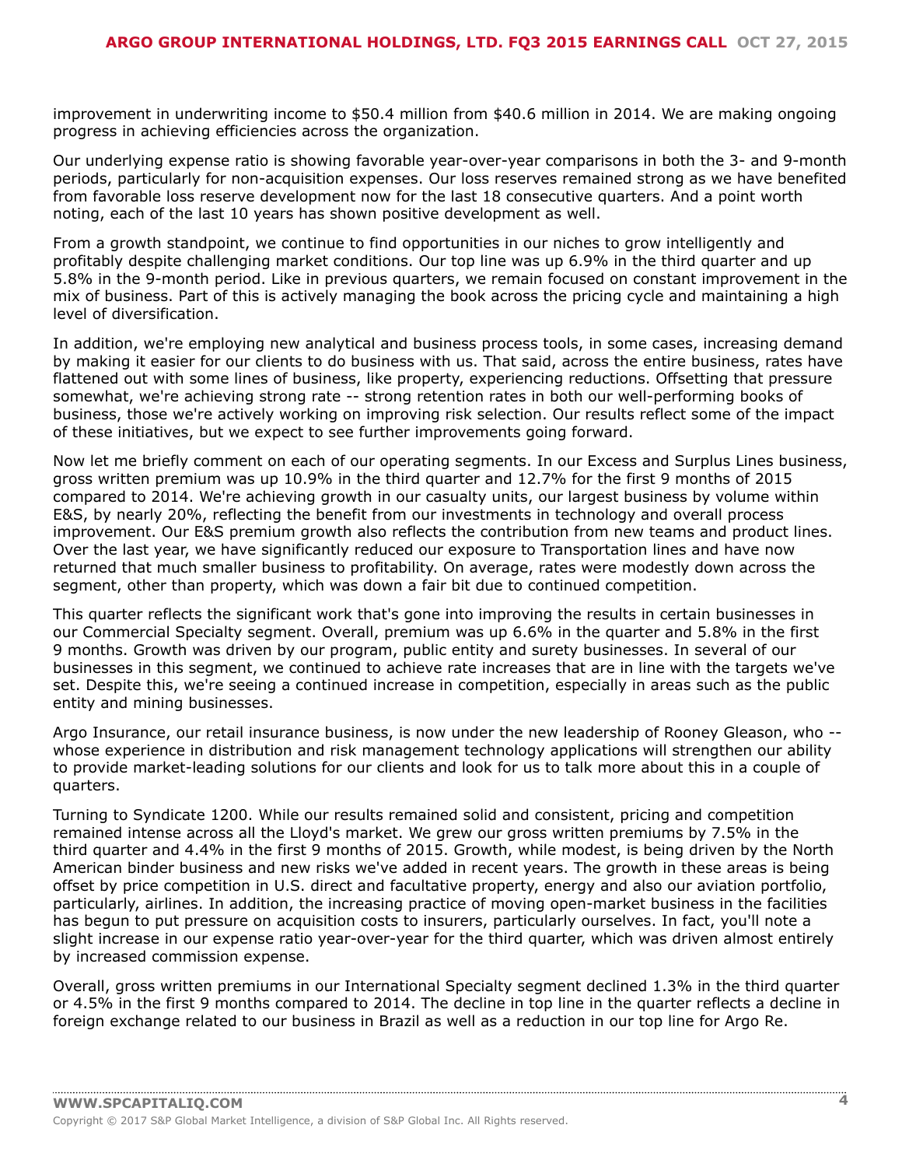improvement in underwriting income to \$50.4 million from \$40.6 million in 2014. We are making ongoing progress in achieving efficiencies across the organization.

Our underlying expense ratio is showing favorable year-over-year comparisons in both the 3- and 9-month periods, particularly for non-acquisition expenses. Our loss reserves remained strong as we have benefited from favorable loss reserve development now for the last 18 consecutive quarters. And a point worth noting, each of the last 10 years has shown positive development as well.

From a growth standpoint, we continue to find opportunities in our niches to grow intelligently and profitably despite challenging market conditions. Our top line was up 6.9% in the third quarter and up 5.8% in the 9-month period. Like in previous quarters, we remain focused on constant improvement in the mix of business. Part of this is actively managing the book across the pricing cycle and maintaining a high level of diversification.

In addition, we're employing new analytical and business process tools, in some cases, increasing demand by making it easier for our clients to do business with us. That said, across the entire business, rates have flattened out with some lines of business, like property, experiencing reductions. Offsetting that pressure somewhat, we're achieving strong rate -- strong retention rates in both our well-performing books of business, those we're actively working on improving risk selection. Our results reflect some of the impact of these initiatives, but we expect to see further improvements going forward.

Now let me briefly comment on each of our operating segments. In our Excess and Surplus Lines business, gross written premium was up 10.9% in the third quarter and 12.7% for the first 9 months of 2015 compared to 2014. We're achieving growth in our casualty units, our largest business by volume within E&S, by nearly 20%, reflecting the benefit from our investments in technology and overall process improvement. Our E&S premium growth also reflects the contribution from new teams and product lines. Over the last year, we have significantly reduced our exposure to Transportation lines and have now returned that much smaller business to profitability. On average, rates were modestly down across the segment, other than property, which was down a fair bit due to continued competition.

This quarter reflects the significant work that's gone into improving the results in certain businesses in our Commercial Specialty segment. Overall, premium was up 6.6% in the quarter and 5.8% in the first 9 months. Growth was driven by our program, public entity and surety businesses. In several of our businesses in this segment, we continued to achieve rate increases that are in line with the targets we've set. Despite this, we're seeing a continued increase in competition, especially in areas such as the public entity and mining businesses.

Argo Insurance, our retail insurance business, is now under the new leadership of Rooney Gleason, who - whose experience in distribution and risk management technology applications will strengthen our ability to provide market-leading solutions for our clients and look for us to talk more about this in a couple of quarters.

Turning to Syndicate 1200. While our results remained solid and consistent, pricing and competition remained intense across all the Lloyd's market. We grew our gross written premiums by 7.5% in the third quarter and 4.4% in the first 9 months of 2015. Growth, while modest, is being driven by the North American binder business and new risks we've added in recent years. The growth in these areas is being offset by price competition in U.S. direct and facultative property, energy and also our aviation portfolio, particularly, airlines. In addition, the increasing practice of moving open-market business in the facilities has begun to put pressure on acquisition costs to insurers, particularly ourselves. In fact, you'll note a slight increase in our expense ratio year-over-year for the third quarter, which was driven almost entirely by increased commission expense.

Overall, gross written premiums in our International Specialty segment declined 1.3% in the third quarter or 4.5% in the first 9 months compared to 2014. The decline in top line in the quarter reflects a decline in foreign exchange related to our business in Brazil as well as a reduction in our top line for Argo Re.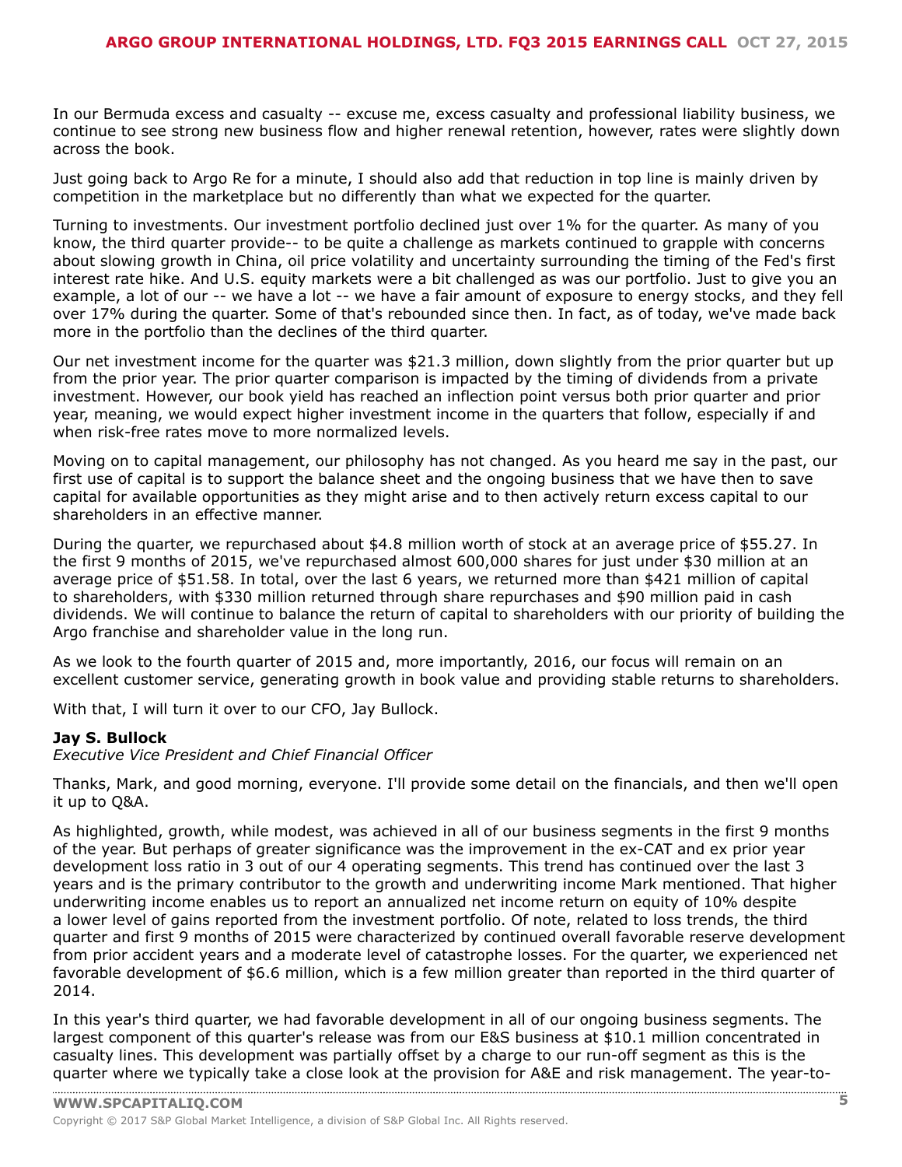In our Bermuda excess and casualty -- excuse me, excess casualty and professional liability business, we continue to see strong new business flow and higher renewal retention, however, rates were slightly down across the book.

Just going back to Argo Re for a minute, I should also add that reduction in top line is mainly driven by competition in the marketplace but no differently than what we expected for the quarter.

Turning to investments. Our investment portfolio declined just over 1% for the quarter. As many of you know, the third quarter provide-- to be quite a challenge as markets continued to grapple with concerns about slowing growth in China, oil price volatility and uncertainty surrounding the timing of the Fed's first interest rate hike. And U.S. equity markets were a bit challenged as was our portfolio. Just to give you an example, a lot of our -- we have a lot -- we have a fair amount of exposure to energy stocks, and they fell over 17% during the quarter. Some of that's rebounded since then. In fact, as of today, we've made back more in the portfolio than the declines of the third quarter.

Our net investment income for the quarter was \$21.3 million, down slightly from the prior quarter but up from the prior year. The prior quarter comparison is impacted by the timing of dividends from a private investment. However, our book yield has reached an inflection point versus both prior quarter and prior year, meaning, we would expect higher investment income in the quarters that follow, especially if and when risk-free rates move to more normalized levels.

Moving on to capital management, our philosophy has not changed. As you heard me say in the past, our first use of capital is to support the balance sheet and the ongoing business that we have then to save capital for available opportunities as they might arise and to then actively return excess capital to our shareholders in an effective manner.

During the quarter, we repurchased about \$4.8 million worth of stock at an average price of \$55.27. In the first 9 months of 2015, we've repurchased almost 600,000 shares for just under \$30 million at an average price of \$51.58. In total, over the last 6 years, we returned more than \$421 million of capital to shareholders, with \$330 million returned through share repurchases and \$90 million paid in cash dividends. We will continue to balance the return of capital to shareholders with our priority of building the Argo franchise and shareholder value in the long run.

As we look to the fourth quarter of 2015 and, more importantly, 2016, our focus will remain on an excellent customer service, generating growth in book value and providing stable returns to shareholders.

With that, I will turn it over to our CFO, Jay Bullock.

#### **Jay S. Bullock**

*Executive Vice President and Chief Financial Officer*

Thanks, Mark, and good morning, everyone. I'll provide some detail on the financials, and then we'll open it up to Q&A.

As highlighted, growth, while modest, was achieved in all of our business segments in the first 9 months of the year. But perhaps of greater significance was the improvement in the ex-CAT and ex prior year development loss ratio in 3 out of our 4 operating segments. This trend has continued over the last 3 years and is the primary contributor to the growth and underwriting income Mark mentioned. That higher underwriting income enables us to report an annualized net income return on equity of 10% despite a lower level of gains reported from the investment portfolio. Of note, related to loss trends, the third quarter and first 9 months of 2015 were characterized by continued overall favorable reserve development from prior accident years and a moderate level of catastrophe losses. For the quarter, we experienced net favorable development of \$6.6 million, which is a few million greater than reported in the third quarter of 2014.

In this year's third quarter, we had favorable development in all of our ongoing business segments. The largest component of this quarter's release was from our E&S business at \$10.1 million concentrated in casualty lines. This development was partially offset by a charge to our run-off segment as this is the [quarter](www.capitaliq.com) where we typically take a close look at the provision for A&E and risk management. The year-to-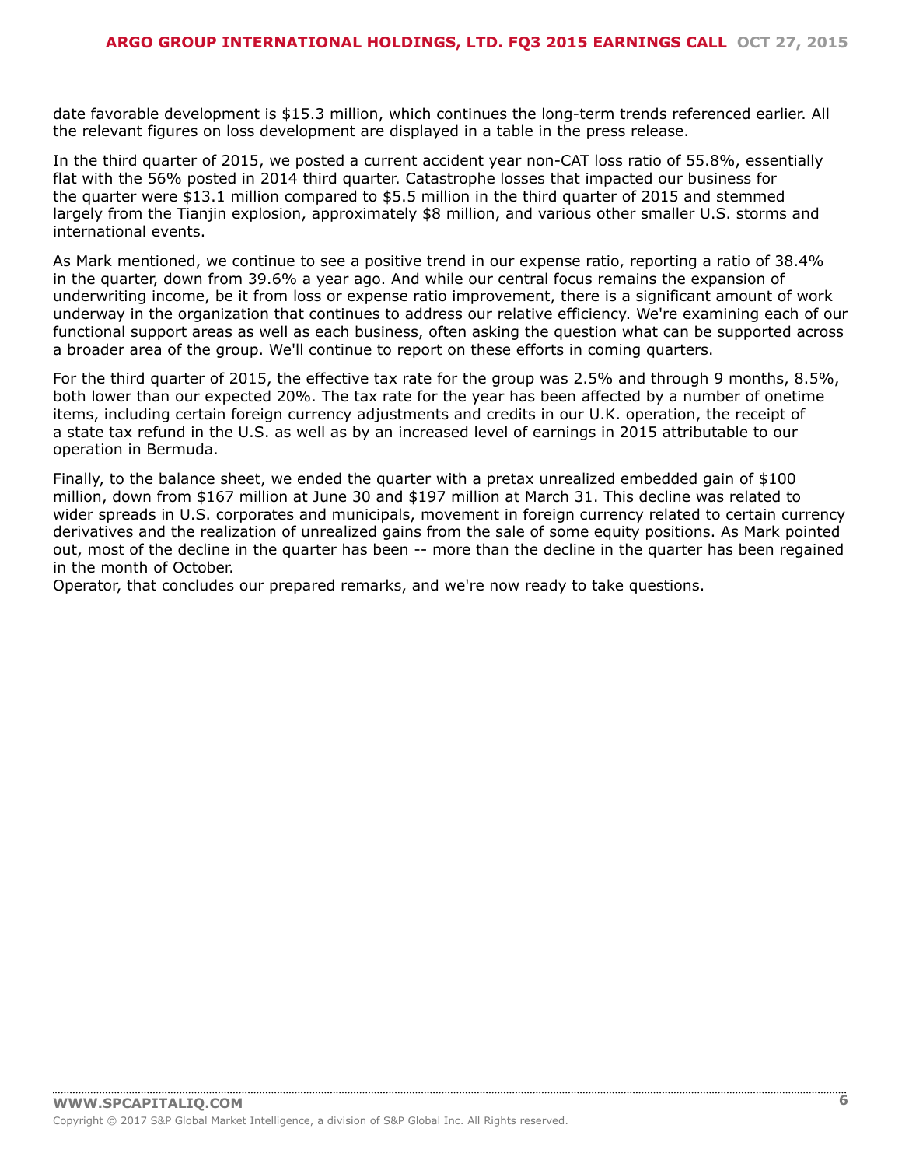date favorable development is \$15.3 million, which continues the long-term trends referenced earlier. All the relevant figures on loss development are displayed in a table in the press release.

In the third quarter of 2015, we posted a current accident year non-CAT loss ratio of 55.8%, essentially flat with the 56% posted in 2014 third quarter. Catastrophe losses that impacted our business for the quarter were \$13.1 million compared to \$5.5 million in the third quarter of 2015 and stemmed largely from the Tianjin explosion, approximately \$8 million, and various other smaller U.S. storms and international events.

As Mark mentioned, we continue to see a positive trend in our expense ratio, reporting a ratio of 38.4% in the quarter, down from 39.6% a year ago. And while our central focus remains the expansion of underwriting income, be it from loss or expense ratio improvement, there is a significant amount of work underway in the organization that continues to address our relative efficiency. We're examining each of our functional support areas as well as each business, often asking the question what can be supported across a broader area of the group. We'll continue to report on these efforts in coming quarters.

For the third quarter of 2015, the effective tax rate for the group was 2.5% and through 9 months, 8.5%, both lower than our expected 20%. The tax rate for the year has been affected by a number of onetime items, including certain foreign currency adjustments and credits in our U.K. operation, the receipt of a state tax refund in the U.S. as well as by an increased level of earnings in 2015 attributable to our operation in Bermuda.

Finally, to the balance sheet, we ended the quarter with a pretax unrealized embedded gain of \$100 million, down from \$167 million at June 30 and \$197 million at March 31. This decline was related to wider spreads in U.S. corporates and municipals, movement in foreign currency related to certain currency derivatives and the realization of unrealized gains from the sale of some equity positions. As Mark pointed out, most of the decline in the quarter has been -- more than the decline in the quarter has been regained in the month of October.

Operator, that concludes our prepared remarks, and we're now ready to take questions.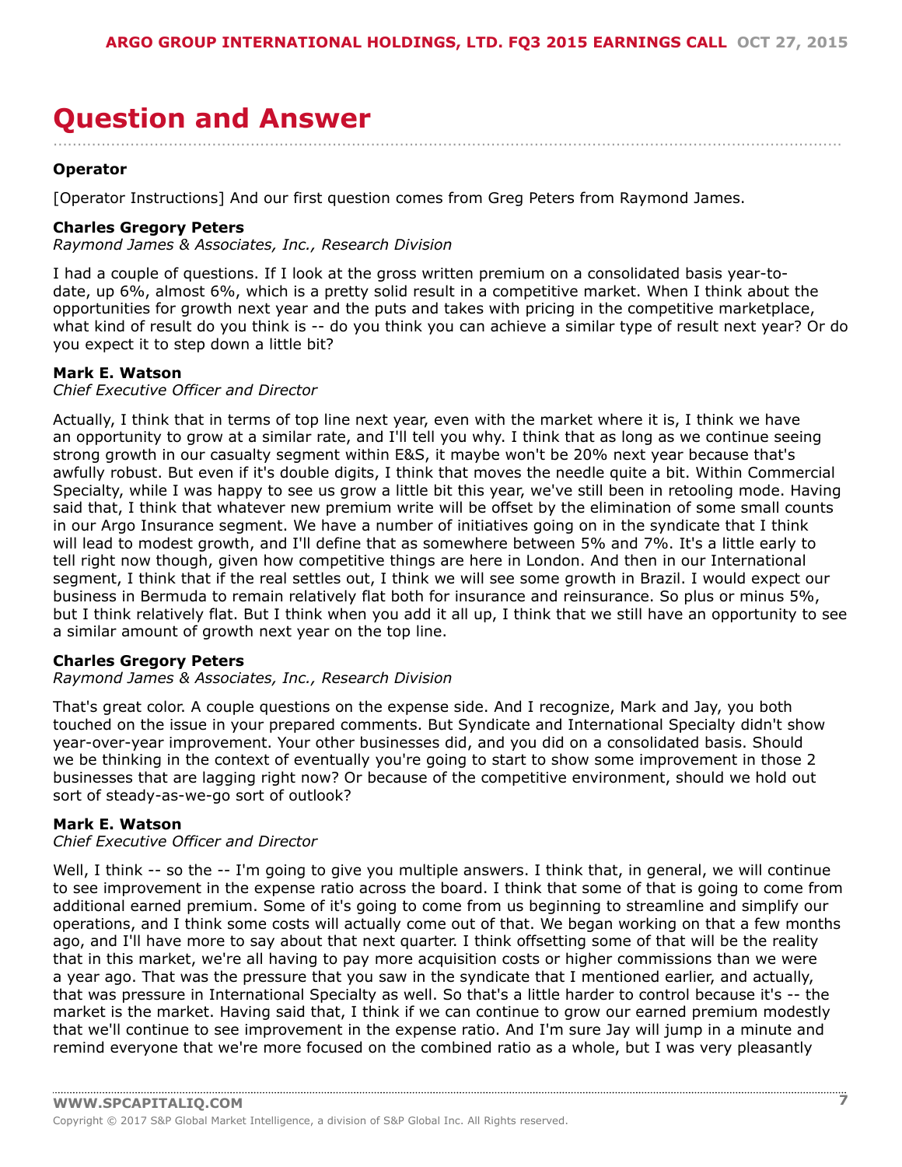### <span id="page-6-0"></span>**Question and Answer** ....................................................................................................................................................................

#### **Operator**

[Operator Instructions] And our first question comes from Greg Peters from Raymond James.

#### **Charles Gregory Peters**

*Raymond James & Associates, Inc., Research Division*

I had a couple of questions. If I look at the gross written premium on a consolidated basis year-todate, up 6%, almost 6%, which is a pretty solid result in a competitive market. When I think about the opportunities for growth next year and the puts and takes with pricing in the competitive marketplace, what kind of result do you think is -- do you think you can achieve a similar type of result next year? Or do you expect it to step down a little bit?

#### **Mark E. Watson**

#### *Chief Executive Officer and Director*

Actually, I think that in terms of top line next year, even with the market where it is, I think we have an opportunity to grow at a similar rate, and I'll tell you why. I think that as long as we continue seeing strong growth in our casualty segment within E&S, it maybe won't be 20% next year because that's awfully robust. But even if it's double digits, I think that moves the needle quite a bit. Within Commercial Specialty, while I was happy to see us grow a little bit this year, we've still been in retooling mode. Having said that, I think that whatever new premium write will be offset by the elimination of some small counts in our Argo Insurance segment. We have a number of initiatives going on in the syndicate that I think will lead to modest growth, and I'll define that as somewhere between 5% and 7%. It's a little early to tell right now though, given how competitive things are here in London. And then in our International segment, I think that if the real settles out, I think we will see some growth in Brazil. I would expect our business in Bermuda to remain relatively flat both for insurance and reinsurance. So plus or minus 5%, but I think relatively flat. But I think when you add it all up, I think that we still have an opportunity to see a similar amount of growth next year on the top line.

#### **Charles Gregory Peters**

#### *Raymond James & Associates, Inc., Research Division*

That's great color. A couple questions on the expense side. And I recognize, Mark and Jay, you both touched on the issue in your prepared comments. But Syndicate and International Specialty didn't show year-over-year improvement. Your other businesses did, and you did on a consolidated basis. Should we be thinking in the context of eventually you're going to start to show some improvement in those 2 businesses that are lagging right now? Or because of the competitive environment, should we hold out sort of steady-as-we-go sort of outlook?

#### **Mark E. Watson**

#### *Chief Executive Officer and Director*

Well, I think -- so the -- I'm going to give you multiple answers. I think that, in general, we will continue to see improvement in the expense ratio across the board. I think that some of that is going to come from additional earned premium. Some of it's going to come from us beginning to streamline and simplify our operations, and I think some costs will actually come out of that. We began working on that a few months ago, and I'll have more to say about that next quarter. I think offsetting some of that will be the reality that in this market, we're all having to pay more acquisition costs or higher commissions than we were a year ago. That was the pressure that you saw in the syndicate that I mentioned earlier, and actually, that was pressure in International Specialty as well. So that's a little harder to control because it's -- the market is the market. Having said that, I think if we can continue to grow our earned premium modestly that we'll continue to see improvement in the expense ratio. And I'm sure Jay will jump in a minute and remind everyone that we're more focused on the combined ratio as a whole, but I was very pleasantly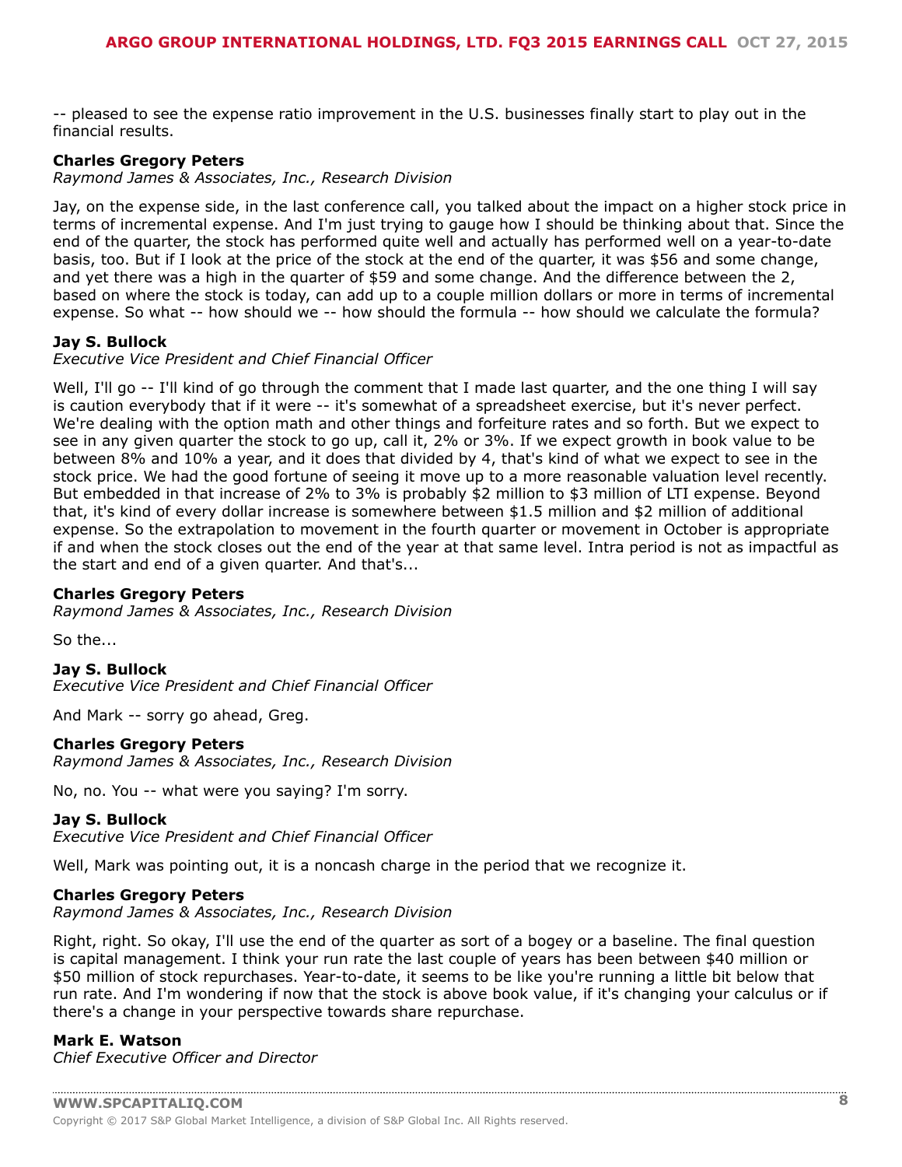-- pleased to see the expense ratio improvement in the U.S. businesses finally start to play out in the financial results.

#### **Charles Gregory Peters**

*Raymond James & Associates, Inc., Research Division*

Jay, on the expense side, in the last conference call, you talked about the impact on a higher stock price in terms of incremental expense. And I'm just trying to gauge how I should be thinking about that. Since the end of the quarter, the stock has performed quite well and actually has performed well on a year-to-date basis, too. But if I look at the price of the stock at the end of the quarter, it was \$56 and some change, and yet there was a high in the quarter of \$59 and some change. And the difference between the 2, based on where the stock is today, can add up to a couple million dollars or more in terms of incremental expense. So what -- how should we -- how should the formula -- how should we calculate the formula?

#### **Jay S. Bullock**

*Executive Vice President and Chief Financial Officer*

Well, I'll go -- I'll kind of go through the comment that I made last quarter, and the one thing I will say is caution everybody that if it were -- it's somewhat of a spreadsheet exercise, but it's never perfect. We're dealing with the option math and other things and forfeiture rates and so forth. But we expect to see in any given quarter the stock to go up, call it, 2% or 3%. If we expect growth in book value to be between 8% and 10% a year, and it does that divided by 4, that's kind of what we expect to see in the stock price. We had the good fortune of seeing it move up to a more reasonable valuation level recently. But embedded in that increase of 2% to 3% is probably \$2 million to \$3 million of LTI expense. Beyond that, it's kind of every dollar increase is somewhere between \$1.5 million and \$2 million of additional expense. So the extrapolation to movement in the fourth quarter or movement in October is appropriate if and when the stock closes out the end of the year at that same level. Intra period is not as impactful as the start and end of a given quarter. And that's...

#### **Charles Gregory Peters**

*Raymond James & Associates, Inc., Research Division*

So the...

**Jay S. Bullock** *Executive Vice President and Chief Financial Officer*

And Mark -- sorry go ahead, Greg.

#### **Charles Gregory Peters**

*Raymond James & Associates, Inc., Research Division*

No, no. You -- what were you saying? I'm sorry.

#### **Jay S. Bullock**

*Executive Vice President and Chief Financial Officer*

Well, Mark was pointing out, it is a noncash charge in the period that we recognize it.

#### **Charles Gregory Peters**

*Raymond James & Associates, Inc., Research Division*

Right, right. So okay, I'll use the end of the quarter as sort of a bogey or a baseline. The final question is capital management. I think your run rate the last couple of years has been between \$40 million or \$50 million of stock repurchases. Year-to-date, it seems to be like you're running a little bit below that run rate. And I'm wondering if now that the stock is above book value, if it's changing your calculus or if there's a change in your perspective towards share repurchase.

#### **Mark E. Watson**

*Chief Executive Officer and Director*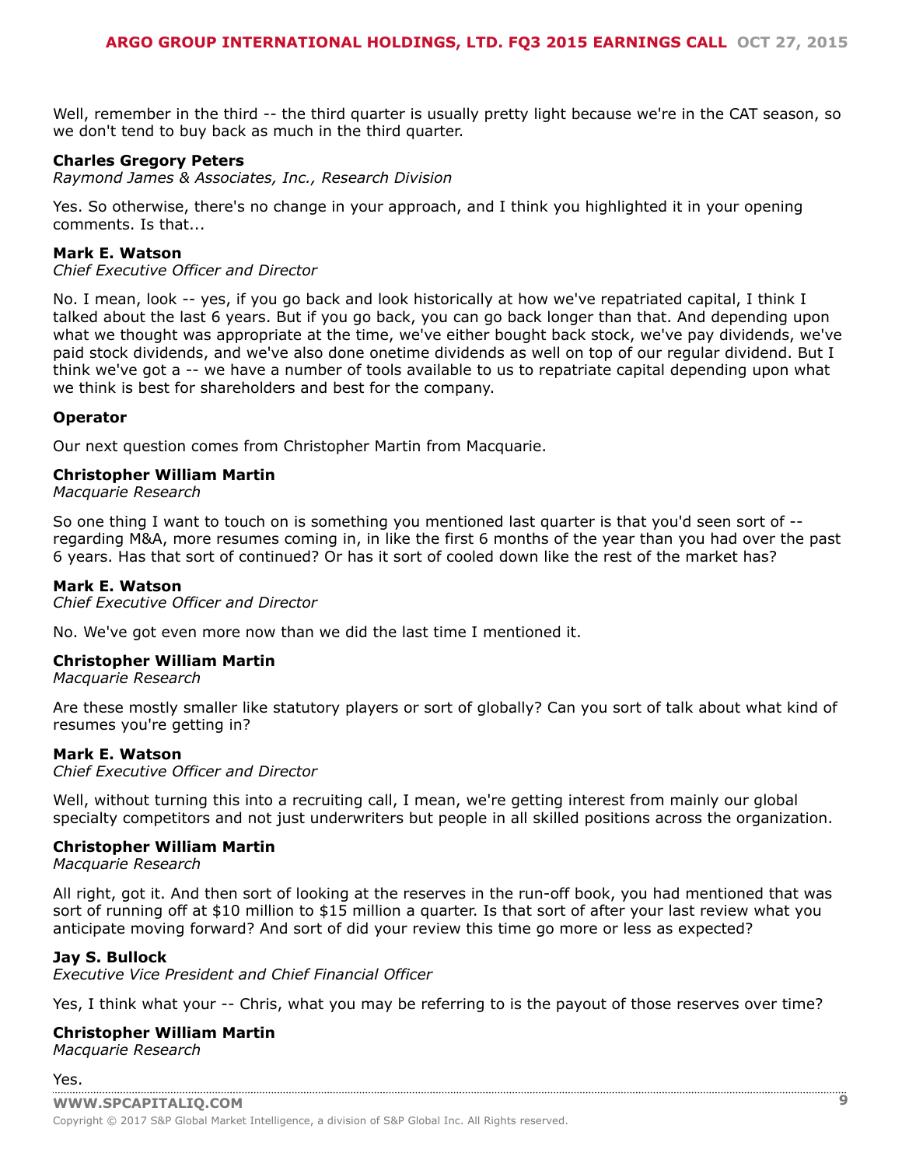Well, remember in the third -- the third quarter is usually pretty light because we're in the CAT season, so we don't tend to buy back as much in the third quarter.

#### **Charles Gregory Peters**

*Raymond James & Associates, Inc., Research Division*

Yes. So otherwise, there's no change in your approach, and I think you highlighted it in your opening comments. Is that...

#### **Mark E. Watson**

*Chief Executive Officer and Director*

No. I mean, look -- yes, if you go back and look historically at how we've repatriated capital, I think I talked about the last 6 years. But if you go back, you can go back longer than that. And depending upon what we thought was appropriate at the time, we've either bought back stock, we've pay dividends, we've paid stock dividends, and we've also done onetime dividends as well on top of our regular dividend. But I think we've got a -- we have a number of tools available to us to repatriate capital depending upon what we think is best for shareholders and best for the company.

#### **Operator**

Our next question comes from Christopher Martin from Macquarie.

#### **Christopher William Martin**

*Macquarie Research*

So one thing I want to touch on is something you mentioned last quarter is that you'd seen sort of - regarding M&A, more resumes coming in, in like the first 6 months of the year than you had over the past 6 years. Has that sort of continued? Or has it sort of cooled down like the rest of the market has?

#### **Mark E. Watson**

*Chief Executive Officer and Director*

No. We've got even more now than we did the last time I mentioned it.

#### **Christopher William Martin**

*Macquarie Research*

Are these mostly smaller like statutory players or sort of globally? Can you sort of talk about what kind of resumes you're getting in?

#### **Mark E. Watson**

*Chief Executive Officer and Director*

Well, without turning this into a recruiting call, I mean, we're getting interest from mainly our global specialty competitors and not just underwriters but people in all skilled positions across the organization.

#### **Christopher William Martin**

*Macquarie Research*

All right, got it. And then sort of looking at the reserves in the run-off book, you had mentioned that was sort of running off at \$10 million to \$15 million a quarter. Is that sort of after your last review what you anticipate moving forward? And sort of did your review this time go more or less as expected?

#### **Jay S. Bullock**

*Executive Vice President and Chief Financial Officer*

Yes, I think what your -- Chris, what you may be referring to is the payout of those reserves over time?

#### **Christopher William Martin**

*Macquarie Research*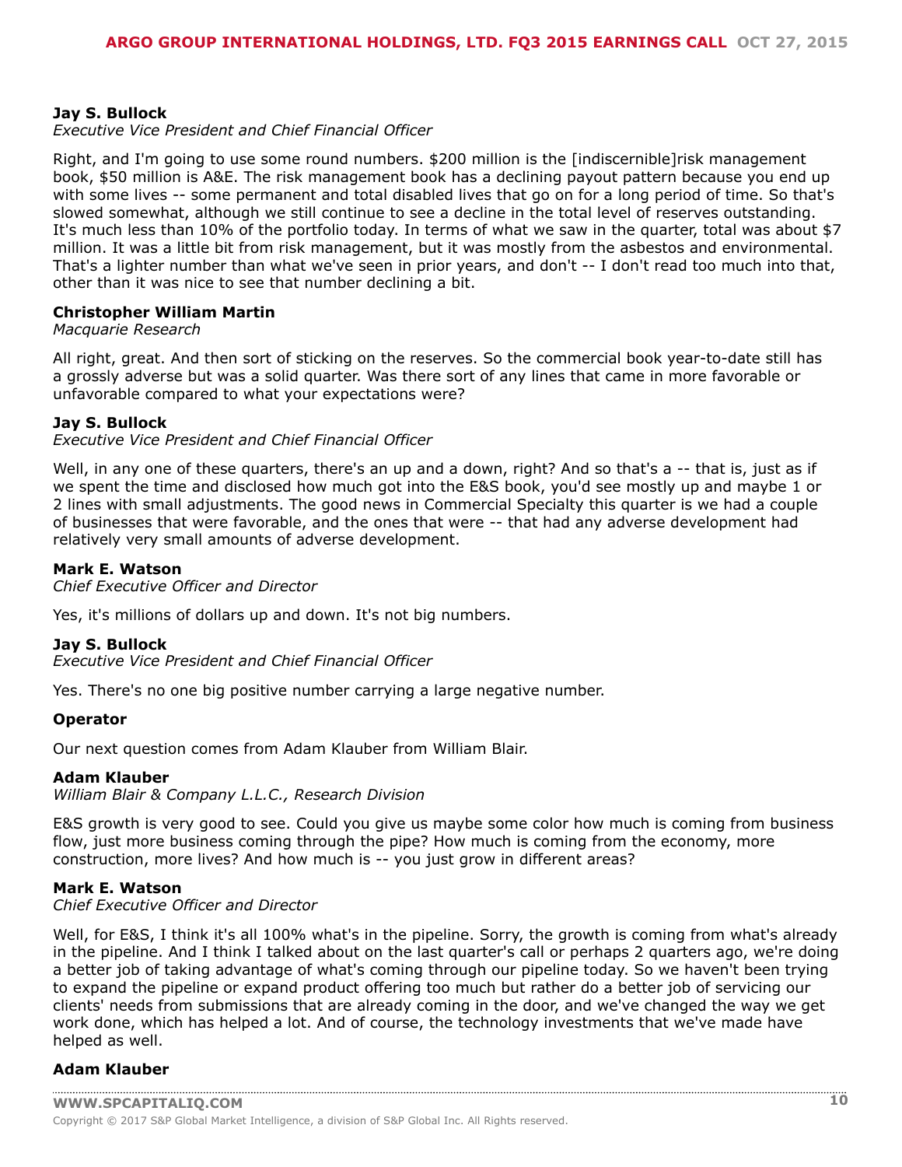#### **Jay S. Bullock**

#### *Executive Vice President and Chief Financial Officer*

Right, and I'm going to use some round numbers. \$200 million is the [indiscernible]risk management book, \$50 million is A&E. The risk management book has a declining payout pattern because you end up with some lives -- some permanent and total disabled lives that go on for a long period of time. So that's slowed somewhat, although we still continue to see a decline in the total level of reserves outstanding. It's much less than 10% of the portfolio today. In terms of what we saw in the quarter, total was about \$7 million. It was a little bit from risk management, but it was mostly from the asbestos and environmental. That's a lighter number than what we've seen in prior years, and don't -- I don't read too much into that, other than it was nice to see that number declining a bit.

#### **Christopher William Martin**

#### *Macquarie Research*

All right, great. And then sort of sticking on the reserves. So the commercial book year-to-date still has a grossly adverse but was a solid quarter. Was there sort of any lines that came in more favorable or unfavorable compared to what your expectations were?

#### **Jay S. Bullock**

*Executive Vice President and Chief Financial Officer*

Well, in any one of these quarters, there's an up and a down, right? And so that's a -- that is, just as if we spent the time and disclosed how much got into the E&S book, you'd see mostly up and maybe 1 or 2 lines with small adjustments. The good news in Commercial Specialty this quarter is we had a couple of businesses that were favorable, and the ones that were -- that had any adverse development had relatively very small amounts of adverse development.

#### **Mark E. Watson**

*Chief Executive Officer and Director*

Yes, it's millions of dollars up and down. It's not big numbers.

#### **Jay S. Bullock**

*Executive Vice President and Chief Financial Officer*

Yes. There's no one big positive number carrying a large negative number.

#### **Operator**

Our next question comes from Adam Klauber from William Blair.

#### **Adam Klauber**

*William Blair & Company L.L.C., Research Division*

E&S growth is very good to see. Could you give us maybe some color how much is coming from business flow, just more business coming through the pipe? How much is coming from the economy, more construction, more lives? And how much is -- you just grow in different areas?

#### **Mark E. Watson**

#### *Chief Executive Officer and Director*

Well, for E&S, I think it's all 100% what's in the pipeline. Sorry, the growth is coming from what's already in the pipeline. And I think I talked about on the last quarter's call or perhaps 2 quarters ago, we're doing a better job of taking advantage of what's coming through our pipeline today. So we haven't been trying to expand the pipeline or expand product offering too much but rather do a better job of servicing our clients' needs from submissions that are already coming in the door, and we've changed the way we get work done, which has helped a lot. And of course, the technology investments that we've made have helped as well.

#### **Adam Klauber**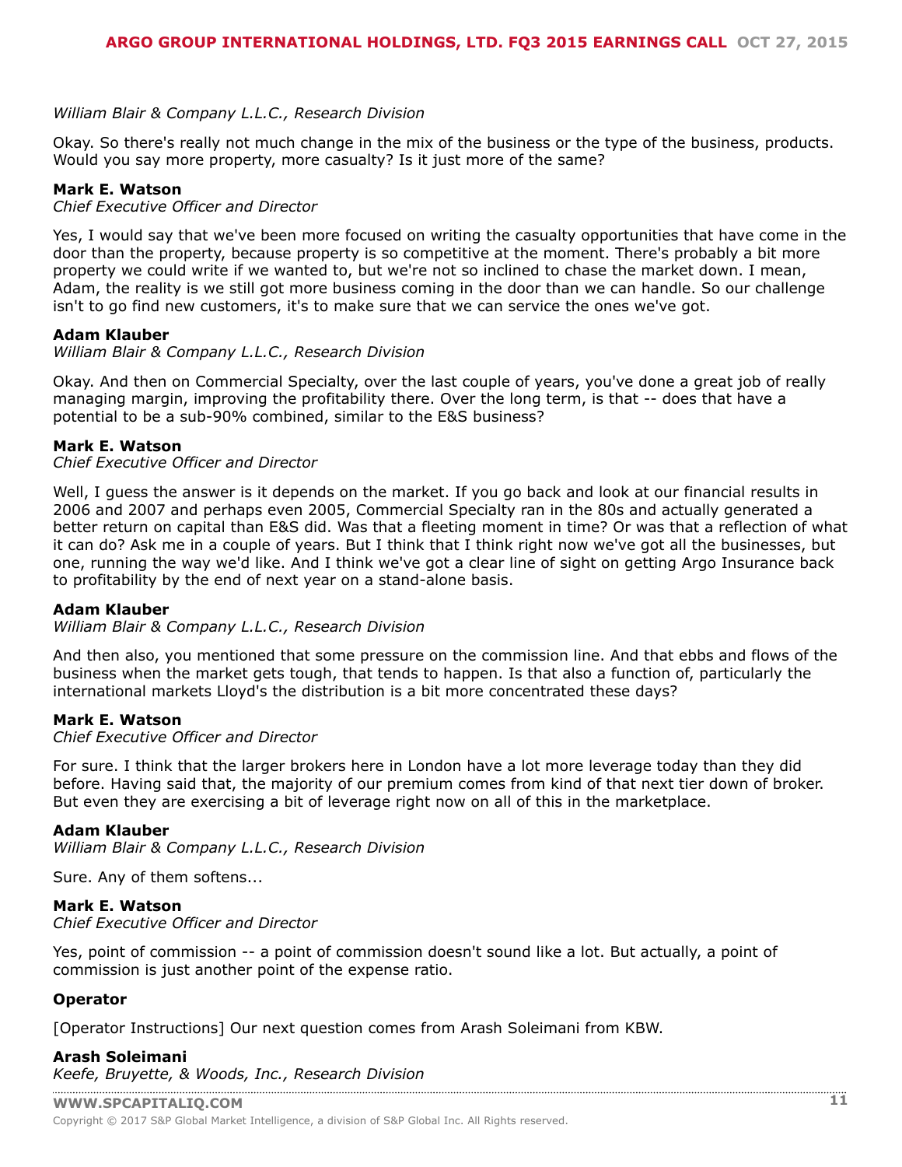#### *William Blair & Company L.L.C., Research Division*

Okay. So there's really not much change in the mix of the business or the type of the business, products. Would you say more property, more casualty? Is it just more of the same?

#### **Mark E. Watson**

#### *Chief Executive Officer and Director*

Yes, I would say that we've been more focused on writing the casualty opportunities that have come in the door than the property, because property is so competitive at the moment. There's probably a bit more property we could write if we wanted to, but we're not so inclined to chase the market down. I mean, Adam, the reality is we still got more business coming in the door than we can handle. So our challenge isn't to go find new customers, it's to make sure that we can service the ones we've got.

#### **Adam Klauber**

#### *William Blair & Company L.L.C., Research Division*

Okay. And then on Commercial Specialty, over the last couple of years, you've done a great job of really managing margin, improving the profitability there. Over the long term, is that -- does that have a potential to be a sub-90% combined, similar to the E&S business?

#### **Mark E. Watson**

#### *Chief Executive Officer and Director*

Well, I guess the answer is it depends on the market. If you go back and look at our financial results in 2006 and 2007 and perhaps even 2005, Commercial Specialty ran in the 80s and actually generated a better return on capital than E&S did. Was that a fleeting moment in time? Or was that a reflection of what it can do? Ask me in a couple of years. But I think that I think right now we've got all the businesses, but one, running the way we'd like. And I think we've got a clear line of sight on getting Argo Insurance back to profitability by the end of next year on a stand-alone basis.

#### **Adam Klauber**

*William Blair & Company L.L.C., Research Division*

And then also, you mentioned that some pressure on the commission line. And that ebbs and flows of the business when the market gets tough, that tends to happen. Is that also a function of, particularly the international markets Lloyd's the distribution is a bit more concentrated these days?

#### **Mark E. Watson**

#### *Chief Executive Officer and Director*

For sure. I think that the larger brokers here in London have a lot more leverage today than they did before. Having said that, the majority of our premium comes from kind of that next tier down of broker. But even they are exercising a bit of leverage right now on all of this in the marketplace.

#### **Adam Klauber**

*William Blair & Company L.L.C., Research Division*

Sure. Any of them softens...

#### **Mark E. Watson**

*Chief Executive Officer and Director*

Yes, point of commission -- a point of commission doesn't sound like a lot. But actually, a point of commission is just another point of the expense ratio.

#### **Operator**

[Operator Instructions] Our next question comes from Arash Soleimani from KBW.

#### **Arash Soleimani** *[Keefe, Bruyette, & Woods](www.capitaliq.com), Inc., Research Division*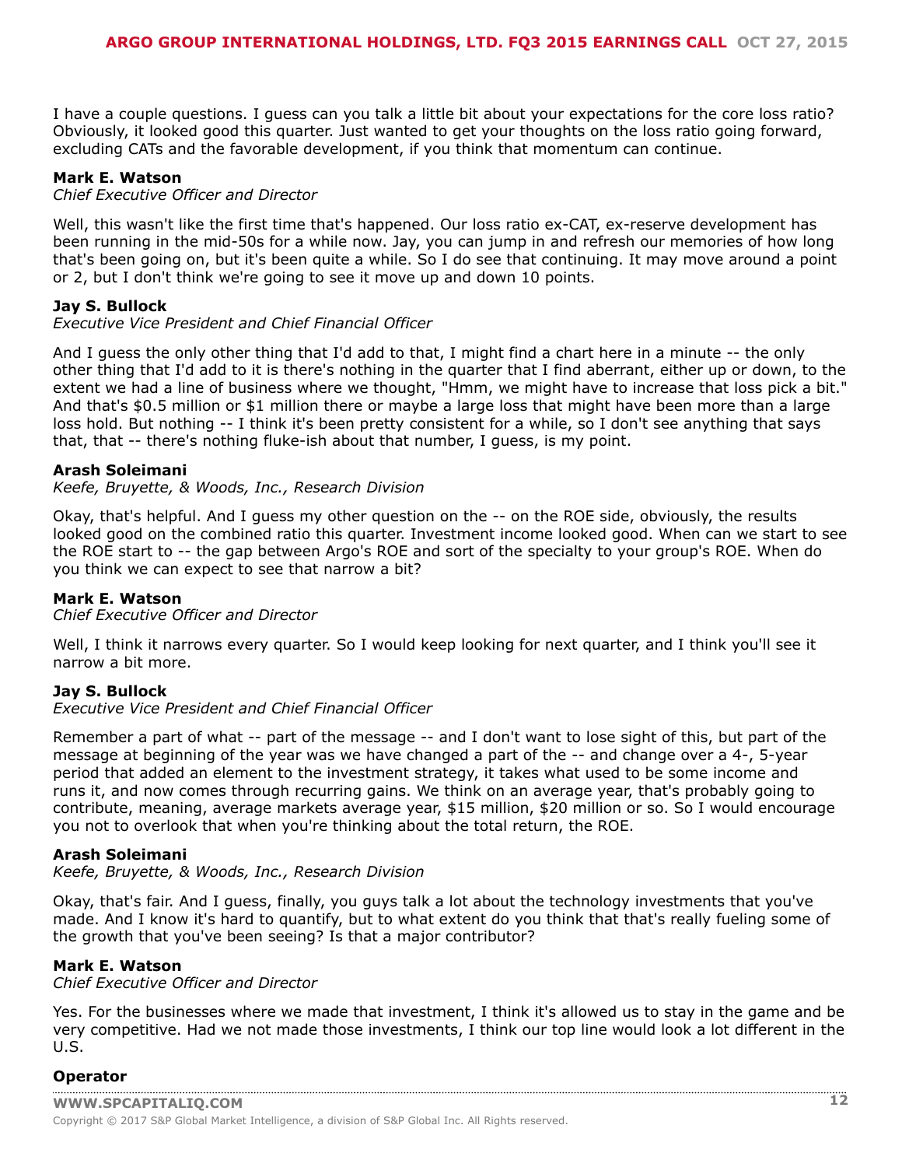I have a couple questions. I guess can you talk a little bit about your expectations for the core loss ratio? Obviously, it looked good this quarter. Just wanted to get your thoughts on the loss ratio going forward, excluding CATs and the favorable development, if you think that momentum can continue.

#### **Mark E. Watson**

#### *Chief Executive Officer and Director*

Well, this wasn't like the first time that's happened. Our loss ratio ex-CAT, ex-reserve development has been running in the mid-50s for a while now. Jay, you can jump in and refresh our memories of how long that's been going on, but it's been quite a while. So I do see that continuing. It may move around a point or 2, but I don't think we're going to see it move up and down 10 points.

#### **Jay S. Bullock**

#### *Executive Vice President and Chief Financial Officer*

And I guess the only other thing that I'd add to that, I might find a chart here in a minute -- the only other thing that I'd add to it is there's nothing in the quarter that I find aberrant, either up or down, to the extent we had a line of business where we thought, "Hmm, we might have to increase that loss pick a bit." And that's \$0.5 million or \$1 million there or maybe a large loss that might have been more than a large loss hold. But nothing -- I think it's been pretty consistent for a while, so I don't see anything that says that, that -- there's nothing fluke-ish about that number, I guess, is my point.

#### **Arash Soleimani**

#### *Keefe, Bruyette, & Woods, Inc., Research Division*

Okay, that's helpful. And I guess my other question on the -- on the ROE side, obviously, the results looked good on the combined ratio this quarter. Investment income looked good. When can we start to see the ROE start to -- the gap between Argo's ROE and sort of the specialty to your group's ROE. When do you think we can expect to see that narrow a bit?

#### **Mark E. Watson**

#### *Chief Executive Officer and Director*

Well, I think it narrows every quarter. So I would keep looking for next quarter, and I think you'll see it narrow a bit more.

#### **Jay S. Bullock**

#### *Executive Vice President and Chief Financial Officer*

Remember a part of what -- part of the message -- and I don't want to lose sight of this, but part of the message at beginning of the year was we have changed a part of the -- and change over a 4-, 5-year period that added an element to the investment strategy, it takes what used to be some income and runs it, and now comes through recurring gains. We think on an average year, that's probably going to contribute, meaning, average markets average year, \$15 million, \$20 million or so. So I would encourage you not to overlook that when you're thinking about the total return, the ROE.

#### **Arash Soleimani**

#### *Keefe, Bruyette, & Woods, Inc., Research Division*

Okay, that's fair. And I guess, finally, you guys talk a lot about the technology investments that you've made. And I know it's hard to quantify, but to what extent do you think that that's really fueling some of the growth that you've been seeing? Is that a major contributor?

#### **Mark E. Watson**

#### *Chief Executive Officer and Director*

Yes. For the businesses where we made that investment, I think it's allowed us to stay in the game and be very competitive. Had we not made those investments, I think our top line would look a lot different in the U.S.

#### **[Operator](www.capitaliq.com)**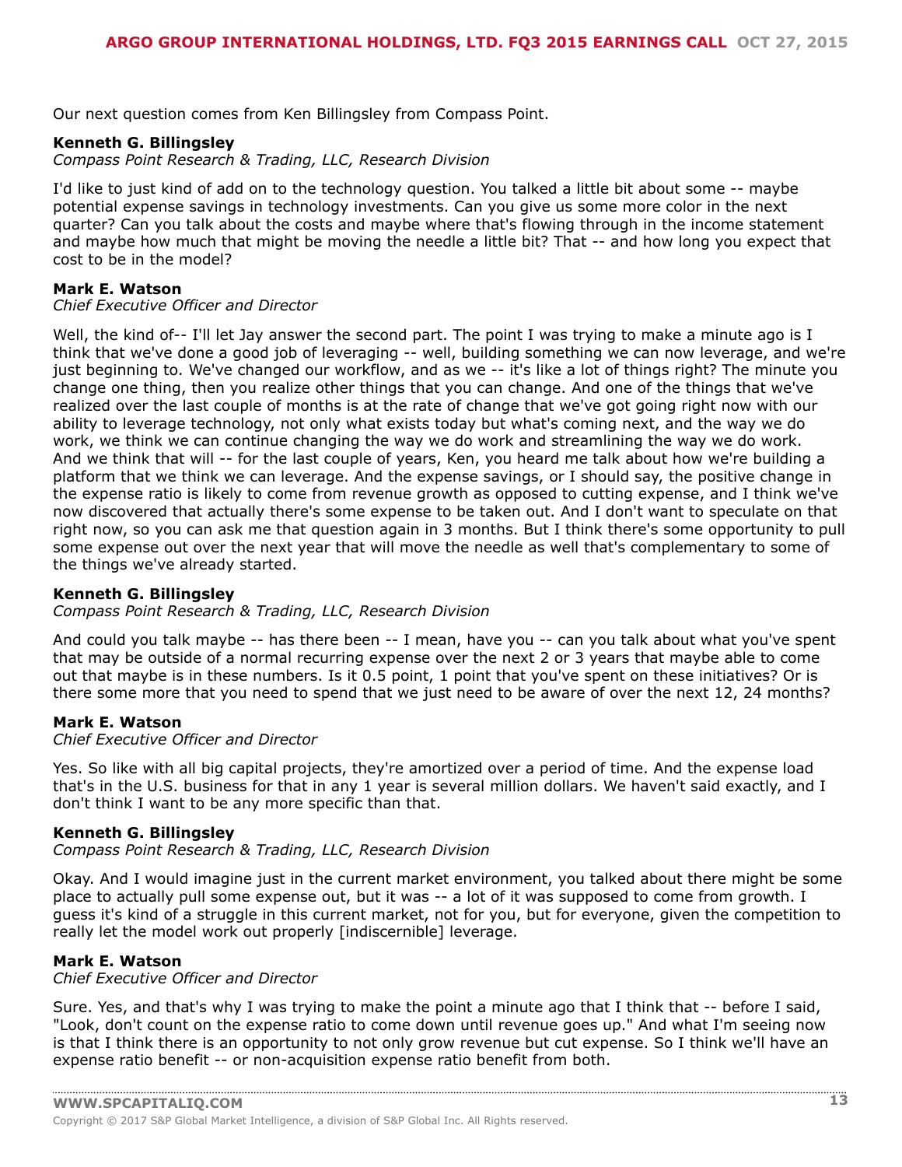Our next question comes from Ken Billingsley from Compass Point.

#### **Kenneth G. Billingsley**

*Compass Point Research & Trading, LLC, Research Division*

I'd like to just kind of add on to the technology question. You talked a little bit about some -- maybe potential expense savings in technology investments. Can you give us some more color in the next quarter? Can you talk about the costs and maybe where that's flowing through in the income statement and maybe how much that might be moving the needle a little bit? That -- and how long you expect that cost to be in the model?

#### **Mark E. Watson**

#### *Chief Executive Officer and Director*

Well, the kind of-- I'll let Jay answer the second part. The point I was trying to make a minute ago is I think that we've done a good job of leveraging -- well, building something we can now leverage, and we're just beginning to. We've changed our workflow, and as we -- it's like a lot of things right? The minute you change one thing, then you realize other things that you can change. And one of the things that we've realized over the last couple of months is at the rate of change that we've got going right now with our ability to leverage technology, not only what exists today but what's coming next, and the way we do work, we think we can continue changing the way we do work and streamlining the way we do work. And we think that will -- for the last couple of years, Ken, you heard me talk about how we're building a platform that we think we can leverage. And the expense savings, or I should say, the positive change in the expense ratio is likely to come from revenue growth as opposed to cutting expense, and I think we've now discovered that actually there's some expense to be taken out. And I don't want to speculate on that right now, so you can ask me that question again in 3 months. But I think there's some opportunity to pull some expense out over the next year that will move the needle as well that's complementary to some of the things we've already started.

#### **Kenneth G. Billingsley**

#### *Compass Point Research & Trading, LLC, Research Division*

And could you talk maybe -- has there been -- I mean, have you -- can you talk about what you've spent that may be outside of a normal recurring expense over the next 2 or 3 years that maybe able to come out that maybe is in these numbers. Is it 0.5 point, 1 point that you've spent on these initiatives? Or is there some more that you need to spend that we just need to be aware of over the next 12, 24 months?

#### **Mark E. Watson**

#### *Chief Executive Officer and Director*

Yes. So like with all big capital projects, they're amortized over a period of time. And the expense load that's in the U.S. business for that in any 1 year is several million dollars. We haven't said exactly, and I don't think I want to be any more specific than that.

#### **Kenneth G. Billingsley**

*Compass Point Research & Trading, LLC, Research Division*

Okay. And I would imagine just in the current market environment, you talked about there might be some place to actually pull some expense out, but it was -- a lot of it was supposed to come from growth. I guess it's kind of a struggle in this current market, not for you, but for everyone, given the competition to really let the model work out properly [indiscernible] leverage.

#### **Mark E. Watson**

*Chief Executive Officer and Director*

Sure. Yes, and that's why I was trying to make the point a minute ago that I think that -- before I said, "Look, don't count on the expense ratio to come down until revenue goes up." And what I'm seeing now is that I think there is an opportunity to not only grow revenue but cut expense. So I think we'll have an expense ratio benefit -- or non-acquisition expense ratio benefit from both.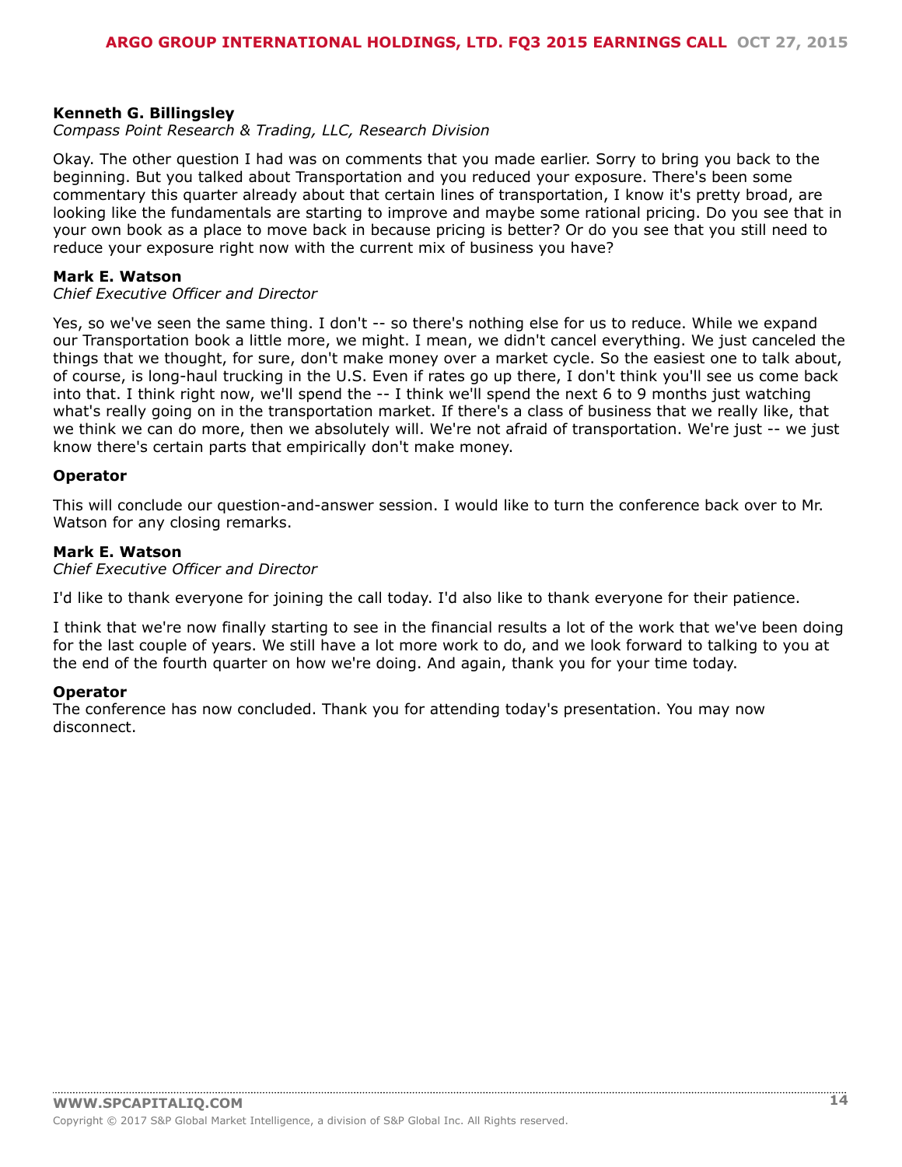#### **Kenneth G. Billingsley**

#### *Compass Point Research & Trading, LLC, Research Division*

Okay. The other question I had was on comments that you made earlier. Sorry to bring you back to the beginning. But you talked about Transportation and you reduced your exposure. There's been some commentary this quarter already about that certain lines of transportation, I know it's pretty broad, are looking like the fundamentals are starting to improve and maybe some rational pricing. Do you see that in your own book as a place to move back in because pricing is better? Or do you see that you still need to reduce your exposure right now with the current mix of business you have?

#### **Mark E. Watson**

#### *Chief Executive Officer and Director*

Yes, so we've seen the same thing. I don't -- so there's nothing else for us to reduce. While we expand our Transportation book a little more, we might. I mean, we didn't cancel everything. We just canceled the things that we thought, for sure, don't make money over a market cycle. So the easiest one to talk about, of course, is long-haul trucking in the U.S. Even if rates go up there, I don't think you'll see us come back into that. I think right now, we'll spend the -- I think we'll spend the next 6 to 9 months just watching what's really going on in the transportation market. If there's a class of business that we really like, that we think we can do more, then we absolutely will. We're not afraid of transportation. We're just -- we just know there's certain parts that empirically don't make money.

#### **Operator**

This will conclude our question-and-answer session. I would like to turn the conference back over to Mr. Watson for any closing remarks.

#### **Mark E. Watson**

*Chief Executive Officer and Director*

I'd like to thank everyone for joining the call today. I'd also like to thank everyone for their patience.

I think that we're now finally starting to see in the financial results a lot of the work that we've been doing for the last couple of years. We still have a lot more work to do, and we look forward to talking to you at the end of the fourth quarter on how we're doing. And again, thank you for your time today.

#### **Operator**

The conference has now concluded. Thank you for attending today's presentation. You may now disconnect.